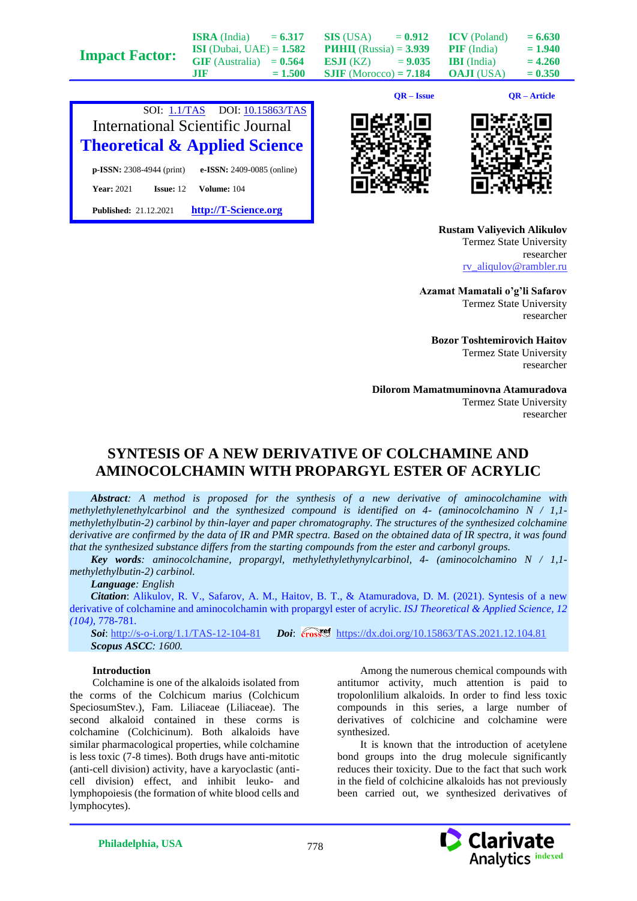|                       |                                   |           |                                 | $QR - Issue$ |                     | QR – Article |
|-----------------------|-----------------------------------|-----------|---------------------------------|--------------|---------------------|--------------|
|                       | .TIF                              | $= 1.500$ | $SIIF$ (Morocco) = 7.184        |              | <b>OAJI</b> (USA)   | $= 0.350$    |
|                       | $GIF$ (Australia) = $0.564$       |           | <b>ESJI</b> (KZ) = $9.035$      |              | <b>IBI</b> (India)  | $= 4.260$    |
| <b>Impact Factor:</b> | <b>ISI</b> (Dubai, UAE) = $1.582$ |           | <b>PHHII</b> (Russia) = $3.939$ |              | <b>PIF</b> (India)  | $= 1.940$    |
|                       | <b>ISRA</b> (India)               | $= 6.317$ | <b>SIS</b> (USA)                | $= 0.912$    | <b>ICV</b> (Poland) | $= 6.630$    |







**Rustam Valiyevich Alikulov** Termez State University researcher [rv\\_aliqulov@rambler.ru](mailto:rv_aliqulov@rambler.ru)

**Azamat Mamatali o'g'li Safarov** Termez State University researcher

**Bozor Toshtemirovich Haitov** Termez State University researcher

**Dilorom Mamatmuminovna Atamuradova** Termez State University researcher

# **SYNTESIS OF A NEW DERIVATIVE OF COLCHAMINE AND AMINOCOLCHAMIN WITH PROPARGYL ESTER OF ACRYLIC**

*Abstract: A method is proposed for the synthesis of a new derivative of aminocolchamine with methylethylenethylcarbinol and the synthesized compound is identified on 4- (aminocolchamino N / 1,1 methylethylbutin-2) carbinol by thin-layer and paper chromatography. The structures of the synthesized colchamine derivative are confirmed by the data of IR and PMR spectra. Based on the obtained data of IR spectra, it was found that the synthesized substance differs from the starting compounds from the ester and carbonyl groups.*

*Key words: aminocolchamine, propargyl, methylethylethynylcarbinol, 4- (aminocolchamino N / 1,1 methylethylbutin-2) carbinol.*

## *Language: English*

*Citation*: Alikulov, R. V., Safarov, A. M., Haitov, B. T., & Atamuradova, D. M. (2021). Syntesis of a new derivative of colchamine and aminocolchamin with propargyl ester of acrylic. *ISJ Theoretical & Applied Science, 12 (104),* 778-781.

**Soi**[: http://s-o-i.org/1.1/TAS-12-104-81](http://s-o-i.org/1.1/TAS-12-104-81) *Doi:* cosset <https://dx.doi.org/10.15863/TAS.2021.12.104.81> *Scopus ASCC: 1600.*

#### **Introduction**

Colchamine is one of the alkaloids isolated from the corms of the Colchicum marius (Colchicum SpeciosumStev.), Fam. Liliaceae (Liliaceae). The second alkaloid contained in these corms is colchamine (Colchicinum). Both alkaloids have similar pharmacological properties, while colchamine is less toxic (7-8 times). Both drugs have anti-mitotic (anti-cell division) activity, have a karyoclastic (anticell division) effect, and inhibit leuko- and lymphopoiesis (the formation of white blood cells and lymphocytes).

Among the numerous chemical compounds with antitumor activity, much attention is paid to tropolonlilium alkaloids. In order to find less toxic compounds in this series, a large number of derivatives of colchicine and colchamine were synthesized.

It is known that the introduction of acetylene bond groups into the drug molecule significantly reduces their toxicity. Due to the fact that such work in the field of colchicine alkaloids has not previously been carried out, we synthesized derivatives of

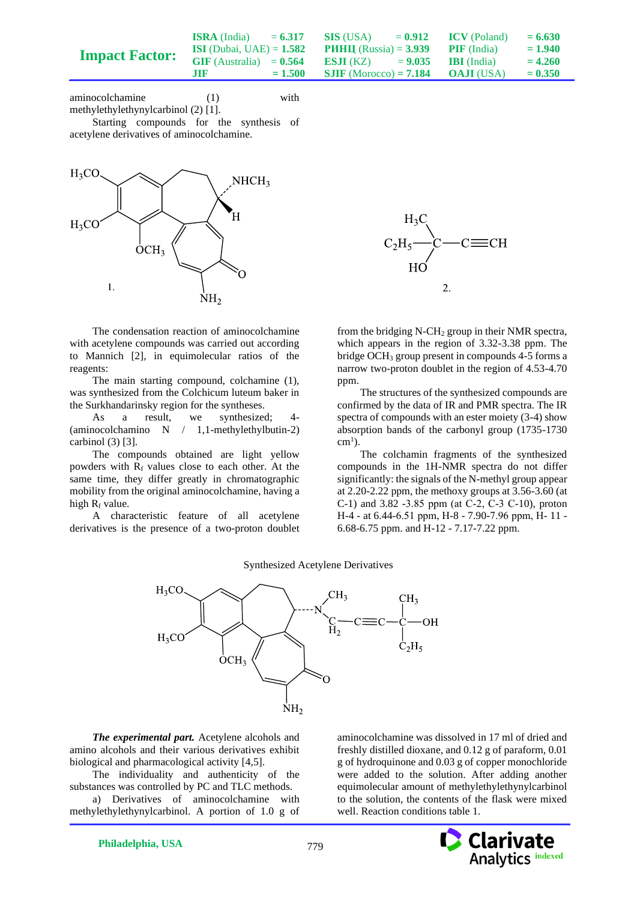|                       | <b>ISRA</b> (India)               | $= 6.317$ | SIS (USA)                                          | $= 0.912$ | <b>ICV</b> (Poland) | $= 6.630$ |
|-----------------------|-----------------------------------|-----------|----------------------------------------------------|-----------|---------------------|-----------|
| <b>Impact Factor:</b> | <b>ISI</b> (Dubai, UAE) = $1.582$ |           | <b>PHHII</b> (Russia) = $3.939$ <b>PIF</b> (India) |           |                     | $= 1.940$ |
|                       | $GIF$ (Australia) = $0.564$       |           | <b>ESJI</b> (KZ) $= 9.035$ <b>IBI</b> (India)      |           |                     | $= 4.260$ |
|                       | .TIF                              | $= 1.500$ | <b>SJIF</b> (Morocco) = <b>7.184 OAJI</b> (USA)    |           |                     | $= 0.350$ |

aminocolchamine (1) with methylethylethynylcarbinol (2) [1].

Starting compounds for the synthesis of acetylene derivatives of aminocolchamine.



The condensation reaction of aminocolchamine with acetylene compounds was carried out according to Mannich [2], in equimolecular ratios of the reagents:

The main starting compound, colchamine (1), was synthesized from the Colchicum luteum baker in the Surkhandarinsky region for the syntheses.

As a result, we synthesized; 4- (aminocolchamino N / 1,1-methylethylbutin-2) carbinol (3) [3].

The compounds obtained are light yellow powders with  $R_f$  values close to each other. At the same time, they differ greatly in chromatographic mobility from the original aminocolchamine, having a high  $R_f$  value.

A characteristic feature of all acetylene derivatives is the presence of a two-proton doublet



from the bridging N-CH<sup>2</sup> group in their NMR spectra, which appears in the region of 3.32-3.38 ppm. The bridge OCH<sub>3</sub> group present in compounds  $4-5$  forms a narrow two-proton doublet in the region of 4.53-4.70 ppm.

The structures of the synthesized compounds are confirmed by the data of IR and PMR spectra. The IR spectra of compounds with an ester moiety (3-4) show absorption bands of the carbonyl group (1735-1730  $cm<sup>1</sup>$ ).

The colchamin fragments of the synthesized compounds in the 1H-NMR spectra do not differ significantly: the signals of the N-methyl group appear at 2.20-2.22 ppm, the methoxy groups at 3.56-3.60 (at C-1) and 3.82 -3.85 ppm (at С-2, С-3 С-10), proton H-4 - at 6.44-6.51 ppm, Н-8 - 7.90-7.96 ppm, Н- 11 - 6.68-6.75 ppm. and H-12 - 7.17-7.22 ppm.

#### Synthesized Acetylene Derivatives



*The experimental part.* Acetylene alcohols and amino alcohols and their various derivatives exhibit biological and pharmacological activity [4,5].

The individuality and authenticity of the substances was controlled by PC and TLC methods.

a) Derivatives of aminocolchamine with methylethylethynylcarbinol. A portion of 1.0 g of aminocolchamine was dissolved in 17 ml of dried and freshly distilled dioxane, and 0.12 g of paraform, 0.01 g of hydroquinone and 0.03 g of copper monochloride were added to the solution. After adding another equimolecular amount of methylethylethynylcarbinol to the solution, the contents of the flask were mixed well. Reaction conditions table 1.

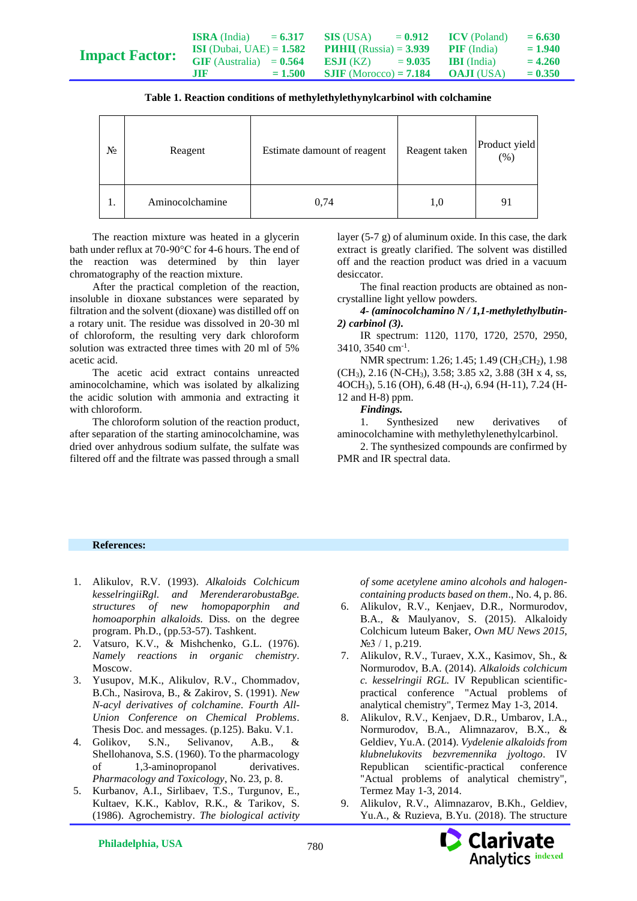|                       | <b>ISRA</b> (India)               | $= 6.317$ | <b>SIS</b> (USA)                | $= 0.912$ | <b>ICV</b> (Poland) | $= 6.630$ |
|-----------------------|-----------------------------------|-----------|---------------------------------|-----------|---------------------|-----------|
| <b>Impact Factor:</b> | <b>ISI</b> (Dubai, UAE) = $1.582$ |           | <b>PHHII</b> (Russia) = $3.939$ |           | <b>PIF</b> (India)  | $= 1.940$ |
|                       | $GIF$ (Australia) = $0.564$       |           | ESJI (KZ)                       | $= 9.035$ | <b>IBI</b> (India)  | $= 4.260$ |
|                       | m                                 | $= 1.500$ | <b>SJIF</b> (Morocco) = $7.184$ |           | <b>OAJI</b> (USA)   | $= 0.350$ |

| Table 1. Reaction conditions of methylethylethynylcarbinol with colchamine |
|----------------------------------------------------------------------------|
|----------------------------------------------------------------------------|

| $N_2$ | Reagent         | Estimate damount of reagent | Reagent taken | Product yield<br>(% ) |
|-------|-----------------|-----------------------------|---------------|-----------------------|
| ı.    | Aminocolchamine | 0,74                        | 1,0           | 91                    |

The reaction mixture was heated in a glycerin bath under reflux at 70-90°C for 4-6 hours. The end of the reaction was determined by thin layer chromatography of the reaction mixture.

After the practical completion of the reaction, insoluble in dioxane substances were separated by filtration and the solvent (dioxane) was distilled off on a rotary unit. The residue was dissolved in 20-30 ml of chloroform, the resulting very dark chloroform solution was extracted three times with 20 ml of 5% acetic acid.

The acetic acid extract contains unreacted aminocolchamine, which was isolated by alkalizing the acidic solution with ammonia and extracting it with chloroform.

The chloroform solution of the reaction product, after separation of the starting aminocolchamine, was dried over anhydrous sodium sulfate, the sulfate was filtered off and the filtrate was passed through a small

layer (5-7 g) of aluminum oxide. In this case, the dark extract is greatly clarified. The solvent was distilled off and the reaction product was dried in a vacuum desiccator.

The final reaction products are obtained as noncrystalline light yellow powders.

*4- (aminocolchamino N / 1,1-methylethylbutin-2) carbinol (3).*

IR spectrum: 1120, 1170, 1720, 2570, 2950, 3410, 3540 cm<sup>-1</sup>.

NMR spectrum: 1.26; 1.45; 1.49 (CH<sub>3</sub>CH<sub>2</sub>), 1.98 (CH3), 2.16 (N-CH3), 3.58; 3.85 x2, 3.88 (3H x 4, ss, 4OCH3), 5.16 (OH), 6.48 (H-4), 6.94 (H-11), 7.24 (H-12 and H-8) ppm.

*Findings.*

1. Synthesized new derivatives of aminocolchamine with methylethylenethylcarbinol.

2. The synthesized compounds are confirmed by PMR and IR spectral data.

### **References:**

- 1. Alikulov, R.V. (1993). *Alkaloids Colchicum kesselringiiRgl. and MerenderarobustaBge. structures of new homopaporphin and homoaporphin alkaloids.* Diss. on the degree program. Ph.D., (pp.53-57). Tashkent.
- 2. Vatsuro, K.V., & Mishchenko, G.L. (1976). *Namely reactions in organic chemistry*. Moscow.
- 3. Yusupov, M.K., Alikulov, R.V., Chommadov, B.Ch., Nasirova, B., & Zakirov, S. (1991). *New N-acyl derivatives of colchamine. Fourth All-Union Conference on Chemical Problems*. Thesis Doc. and messages. (p.125). Baku. V.1.
- 4. Golikov, S.N., Selivanov, A.B., & Shellohanova, S.S. (1960). To the pharmacology of 1,3-aminopropanol derivatives. *Pharmacology and Toxicology*, No. 23, p. 8.
- 5. Kurbanov, A.I., Sirlibaev, T.S., Turgunov, E., Kultaev, K.K., Kablov, R.K., & Tarikov, S. (1986). Agrochemistry. *The biological activity*

*of some acetylene amino alcohols and halogencontaining products based on them*., No. 4, p. 86.

- 6. Alikulov, R.V., Kenjaev, D.R., Normurodov, B.A., & Maulyanov, S. (2015). Alkaloidy Colchicum luteum Baker, *Own MU News 2015*, №3 / 1, p.219.
- 7. Alikulov, R.V., Turaev, X.X., Kasimov, Sh., & Normurodov, B.A. (2014). *Alkaloids colchicum c. kesselringii RGL.* IV Republican scientificpractical conference "Actual problems of analytical chemistry", Termez May 1-3, 2014.
- 8. Alikulov, R.V., Kenjaev, D.R., Umbarov, I.A., Normurodov, B.A., Alimnazarov, B.X., & Geldiev, Yu.A. (2014). *Vydelenie alkaloids from klubnelukovits bezvremennika jyoltogo*. IV Republican scientific-practical conference "Actual problems of analytical chemistry", Termez May 1-3, 2014.
- 9. Alikulov, R.V., Alimnazarov, B.Kh., Geldiev, Yu.A., & Ruzieva, B.Yu. (2018). The structure